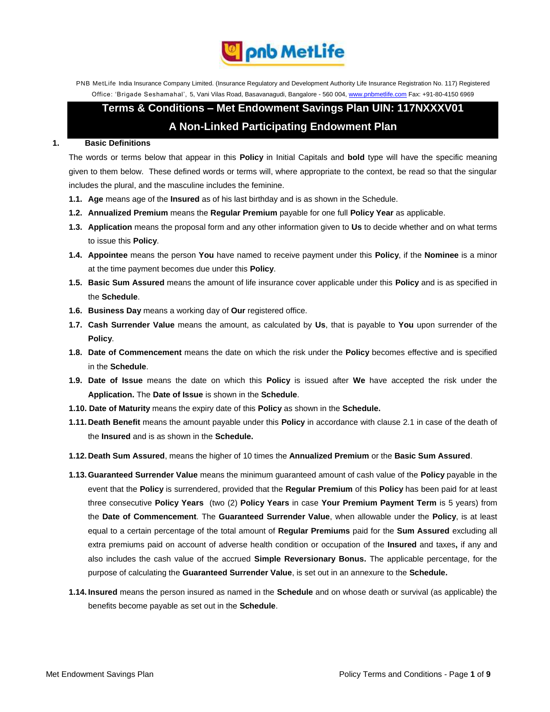

PNB MetLife India Insurance Company Limited. (Insurance Regulatory and Development Authority Life Insurance Registration No. 117) Registered Office: 'Brigade Seshamahal', 5, Vani Vilas Road, Basavanagudi, Bangalore - 560 004, www.pnbmetlife.com Fax: +91-80-4150 6969

# **Terms & Conditions – Met Endowment Savings Plan UIN: 117NXXXV01 A Non-Linked Participating Endowment Plan**

## **1. Basic Definitions**

The words or terms below that appear in this **Policy** in Initial Capitals and **bold** type will have the specific meaning given to them below. These defined words or terms will, where appropriate to the context, be read so that the singular includes the plural, and the masculine includes the feminine.

- **1.1. Age** means age of the **Insured** as of his last birthday and is as shown in the Schedule.
- **1.2. Annualized Premium** means the **Regular Premium** payable for one full **Policy Year** as applicable.
- **1.3. Application** means the proposal form and any other information given to **Us** to decide whether and on what terms to issue this **Policy**.
- **1.4. Appointee** means the person **You** have named to receive payment under this **Policy**, if the **Nominee** is a minor at the time payment becomes due under this **Policy**.
- **1.5. Basic Sum Assured** means the amount of life insurance cover applicable under this **Policy** and is as specified in the **Schedule**.
- **1.6. Business Day** means a working day of **Our** registered office.
- **1.7. Cash Surrender Value** means the amount, as calculated by **Us**, that is payable to **You** upon surrender of the **Policy**.
- **1.8. Date of Commencement** means the date on which the risk under the **Policy** becomes effective and is specified in the **Schedule**.
- **1.9. Date of Issue** means the date on which this **Policy** is issued after **We** have accepted the risk under the **Application.** The **Date of Issue** is shown in the **Schedule**.
- **1.10. Date of Maturity** means the expiry date of this **Policy** as shown in the **Schedule.**
- **1.11.Death Benefit** means the amount payable under this **Policy** in accordance with clause 2.1 in case of the death of the **Insured** and is as shown in the **Schedule.**
- **1.12.Death Sum Assured**, means the higher of 10 times the **Annualized Premium** or the **Basic Sum Assured**.
- **1.13.Guaranteed Surrender Value** means the minimum guaranteed amount of cash value of the **Policy** payable in the event that the **Policy** is surrendered, provided that the **Regular Premium** of this **Policy** has been paid for at least three consecutive **Policy Years** (two (2) **Policy Years** in case **Your Premium Payment Term** is 5 years) from the **Date of Commencement**. The **Guaranteed Surrender Value**, when allowable under the **Policy**, is at least equal to a certain percentage of the total amount of **Regular Premiums** paid for the **Sum Assured** excluding all extra premiums paid on account of adverse health condition or occupation of the **Insured** and taxes**,** if any and also includes the cash value of the accrued **Simple Reversionary Bonus.** The applicable percentage, for the purpose of calculating the **Guaranteed Surrender Value**, is set out in an annexure to the **Schedule.**
- **1.14. Insured** means the person insured as named in the **Schedule** and on whose death or survival (as applicable) the benefits become payable as set out in the **Schedule**.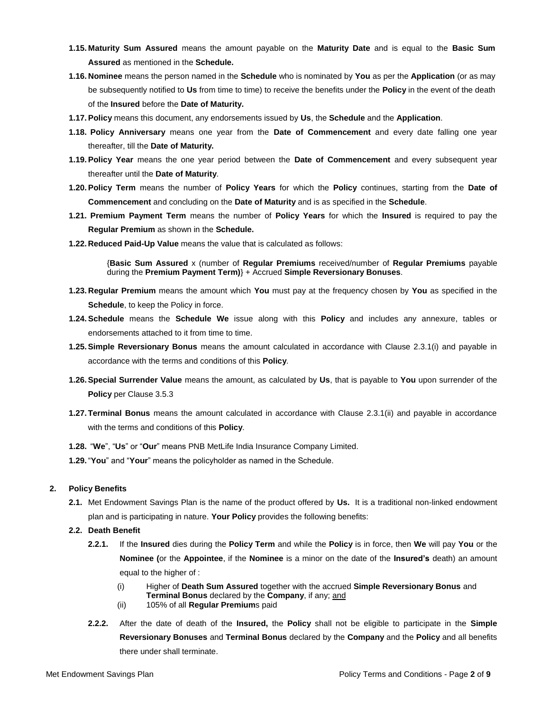- **1.15. Maturity Sum Assured** means the amount payable on the **Maturity Date** and is equal to the **Basic Sum Assured** as mentioned in the **Schedule.**
- **1.16. Nominee** means the person named in the **Schedule** who is nominated by **You** as per the **Application** (or as may be subsequently notified to **Us** from time to time) to receive the benefits under the **Policy** in the event of the death of the **Insured** before the **Date of Maturity.**
- **1.17.Policy** means this document, any endorsements issued by **Us**, the **Schedule** and the **Application**.
- **1.18. Policy Anniversary** means one year from the **Date of Commencement** and every date falling one year thereafter, till the **Date of Maturity.**
- **1.19.Policy Year** means the one year period between the **Date of Commencement** and every subsequent year thereafter until the **Date of Maturity**.
- **1.20.Policy Term** means the number of **Policy Years** for which the **Policy** continues, starting from the **Date of Commencement** and concluding on the **Date of Maturity** and is as specified in the **Schedule**.
- **1.21. Premium Payment Term** means the number of **Policy Years** for which the **Insured** is required to pay the **Regular Premium** as shown in the **Schedule.**
- **1.22.Reduced Paid-Up Value** means the value that is calculated as follows:

{**Basic Sum Assured** x (number of **Regular Premiums** received/number of **Regular Premiums** payable during the **Premium Payment Term)**} + Accrued **Simple Reversionary Bonuses**.

- **1.23. Regular Premium** means the amount which **You** must pay at the frequency chosen by **You** as specified in the **Schedule**, to keep the Policy in force.
- **1.24.Schedule** means the **Schedule We** issue along with this **Policy** and includes any annexure, tables or endorsements attached to it from time to time.
- **1.25.Simple Reversionary Bonus** means the amount calculated in accordance with Clause 2.3.1(i) and payable in accordance with the terms and conditions of this **Policy**.
- **1.26.Special Surrender Value** means the amount, as calculated by **Us**, that is payable to **You** upon surrender of the **Policy** per Clause 3.5.3
- **1.27.Terminal Bonus** means the amount calculated in accordance with Clause 2.3.1(ii) and payable in accordance with the terms and conditions of this **Policy**.
- **1.28.** "**We**", "**Us**" or "**Our**" means PNB MetLife India Insurance Company Limited.
- **1.29.**"**You**" and "**Your**" means the policyholder as named in the Schedule.

## **2. Policy Benefits**

**2.1.** Met Endowment Savings Plan is the name of the product offered by **Us.** It is a traditional non-linked endowment plan and is participating in nature. **Your Policy** provides the following benefits:

## **2.2. Death Benefit**

- **2.2.1.** If the **Insured** dies during the **Policy Term** and while the **Policy** is in force, then **We** will pay **You** or the **Nominee (**or the **Appointee**, if the **Nominee** is a minor on the date of the **Insured's** death) an amount equal to the higher of :
	- (i) Higher of **Death Sum Assured** together with the accrued **Simple Reversionary Bonus** and **Terminal Bonus** declared by the **Company**, if any; and
	- (ii) 105% of all **Regular Premium**s paid
- **2.2.2.** After the date of death of the **Insured,** the **Policy** shall not be eligible to participate in the **Simple Reversionary Bonuses** and **Terminal Bonus** declared by the **Company** and the **Policy** and all benefits there under shall terminate.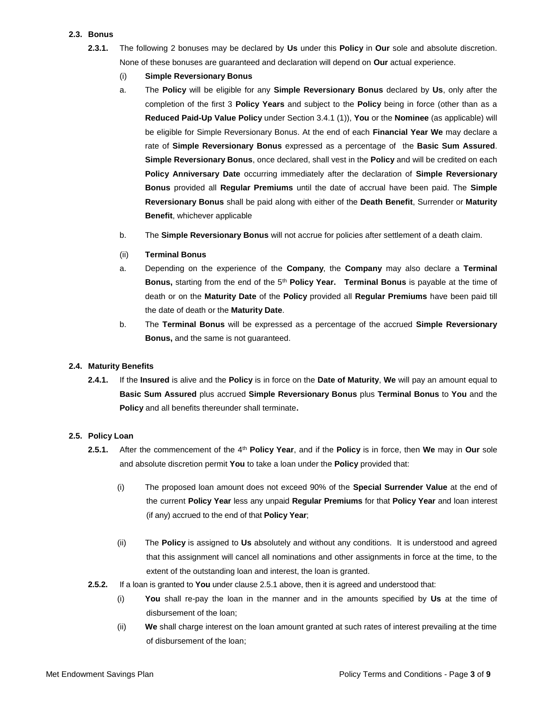# **2.3. Bonus**

- **2.3.1.** The following 2 bonuses may be declared by **Us** under this **Policy** in **Our** sole and absolute discretion. None of these bonuses are guaranteed and declaration will depend on **Our** actual experience.
	- (i) **Simple Reversionary Bonus**
	- a. The **Policy** will be eligible for any **Simple Reversionary Bonus** declared by **Us**, only after the completion of the first 3 **Policy Years** and subject to the **Policy** being in force (other than as a **Reduced Paid-Up Value Policy** under Section 3.4.1 (1)), **You** or the **Nominee** (as applicable) will be eligible for Simple Reversionary Bonus. At the end of each **Financial Year We** may declare a rate of **Simple Reversionary Bonus** expressed as a percentage of the **Basic Sum Assured**. **Simple Reversionary Bonus**, once declared, shall vest in the **Policy** and will be credited on each **Policy Anniversary Date** occurring immediately after the declaration of **Simple Reversionary Bonus** provided all **Regular Premiums** until the date of accrual have been paid. The **Simple Reversionary Bonus** shall be paid along with either of the **Death Benefit**, Surrender or **Maturity Benefit**, whichever applicable
	- b. The **Simple Reversionary Bonus** will not accrue for policies after settlement of a death claim.
	- (ii) **Terminal Bonus**
	- a. Depending on the experience of the **Company**, the **Company** may also declare a **Terminal Bonus,** starting from the end of the 5th **Policy Year. Terminal Bonus** is payable at the time of death or on the **Maturity Date** of the **Policy** provided all **Regular Premiums** have been paid till the date of death or the **Maturity Date**.
	- b. The **Terminal Bonus** will be expressed as a percentage of the accrued **Simple Reversionary Bonus,** and the same is not guaranteed.

# **2.4. Maturity Benefits**

**2.4.1.** If the **Insured** is alive and the **Policy** is in force on the **Date of Maturity**, **We** will pay an amount equal to **Basic Sum Assured** plus accrued **Simple Reversionary Bonus** plus **Terminal Bonus** to **You** and the **Policy** and all benefits thereunder shall terminate**.**

## **2.5. Policy Loan**

- **2.5.1.** After the commencement of the 4th **Policy Year**, and if the **Policy** is in force, then **We** may in **Our** sole and absolute discretion permit **You** to take a loan under the **Policy** provided that:
	- (i) The proposed loan amount does not exceed 90% of the **Special Surrender Value** at the end of the current **Policy Year** less any unpaid **Regular Premiums** for that **Policy Year** and loan interest (if any) accrued to the end of that **Policy Year**;
	- (ii) The **Policy** is assigned to **Us** absolutely and without any conditions. It is understood and agreed that this assignment will cancel all nominations and other assignments in force at the time, to the extent of the outstanding loan and interest, the loan is granted.
- **2.5.2.** If a loan is granted to **You** under clause 2.5.1 above, then it is agreed and understood that:
	- (i) **You** shall re-pay the loan in the manner and in the amounts specified by **Us** at the time of disbursement of the loan;
	- (ii) **We** shall charge interest on the loan amount granted at such rates of interest prevailing at the time of disbursement of the loan;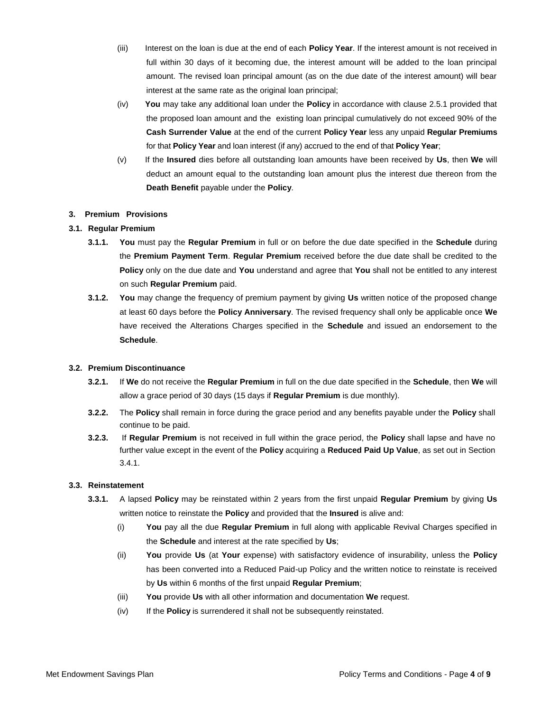- (iii) Interest on the loan is due at the end of each **Policy Year**. If the interest amount is not received in full within 30 days of it becoming due, the interest amount will be added to the loan principal amount. The revised loan principal amount (as on the due date of the interest amount) will bear interest at the same rate as the original loan principal;
- (iv) **You** may take any additional loan under the **Policy** in accordance with clause 2.5.1 provided that the proposed loan amount and the existing loan principal cumulatively do not exceed 90% of the **Cash Surrender Value** at the end of the current **Policy Year** less any unpaid **Regular Premiums** for that **Policy Year** and loan interest (if any) accrued to the end of that **Policy Year**;
- (v) If the **Insured** dies before all outstanding loan amounts have been received by **Us**, then **We** will deduct an amount equal to the outstanding loan amount plus the interest due thereon from the **Death Benefit** payable under the **Policy**.

# **3. Premium Provisions**

# **3.1. Regular Premium**

- **3.1.1. You** must pay the **Regular Premium** in full or on before the due date specified in the **Schedule** during the **Premium Payment Term**. **Regular Premium** received before the due date shall be credited to the **Policy** only on the due date and **You** understand and agree that **You** shall not be entitled to any interest on such **Regular Premium** paid.
- **3.1.2. You** may change the frequency of premium payment by giving **Us** written notice of the proposed change at least 60 days before the **Policy Anniversary**. The revised frequency shall only be applicable once **We** have received the Alterations Charges specified in the **Schedule** and issued an endorsement to the **Schedule**.

## **3.2. Premium Discontinuance**

- **3.2.1.** If **We** do not receive the **Regular Premium** in full on the due date specified in the **Schedule**, then **We** will allow a grace period of 30 days (15 days if **Regular Premium** is due monthly).
- **3.2.2.** The **Policy** shall remain in force during the grace period and any benefits payable under the **Policy** shall continue to be paid.
- **3.2.3.** If **Regular Premium** is not received in full within the grace period, the **Policy** shall lapse and have no further value except in the event of the **Policy** acquiring a **Reduced Paid Up Value**, as set out in Section 3.4.1.

## **3.3. Reinstatement**

- **3.3.1.** A lapsed **Policy** may be reinstated within 2 years from the first unpaid **Regular Premium** by giving **Us** written notice to reinstate the **Policy** and provided that the **Insured** is alive and:
	- (i) **You** pay all the due **Regular Premium** in full along with applicable Revival Charges specified in the **Schedule** and interest at the rate specified by **Us**;
	- (ii) **You** provide **Us** (at **Your** expense) with satisfactory evidence of insurability, unless the **Policy** has been converted into a Reduced Paid-up Policy and the written notice to reinstate is received by **Us** within 6 months of the first unpaid **Regular Premium**;
	- (iii) **You** provide **Us** with all other information and documentation **We** request.
	- (iv) If the **Policy** is surrendered it shall not be subsequently reinstated.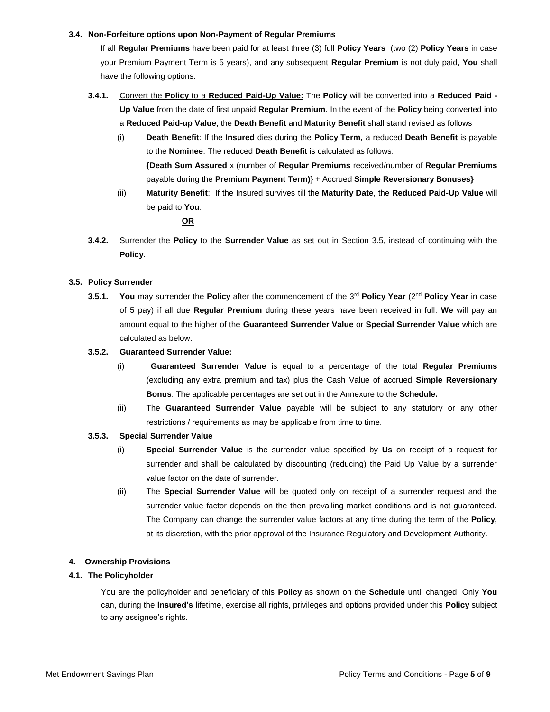## **3.4. Non-Forfeiture options upon Non-Payment of Regular Premiums**

If all **Regular Premiums** have been paid for at least three (3) full **Policy Years** (two (2) **Policy Years** in case your Premium Payment Term is 5 years), and any subsequent **Regular Premium** is not duly paid, **You** shall have the following options.

- **3.4.1.** Convert the **Policy** to a **Reduced Paid-Up Value:** The **Policy** will be converted into a **Reduced Paid - Up Value** from the date of first unpaid **Regular Premium**. In the event of the **Policy** being converted into a **Reduced Paid-up Value**, the **Death Benefit** and **Maturity Benefit** shall stand revised as follows
	- (i) **Death Benefit**: If the **Insured** dies during the **Policy Term,** a reduced **Death Benefit** is payable to the **Nominee**. The reduced **Death Benefit** is calculated as follows: **{Death Sum Assured** x (number of **Regular Premiums** received/number of **Regular Premiums** payable during the **Premium Payment Term)**} + Accrued **Simple Reversionary Bonuses}**
	- (ii) **Maturity Benefit**: If the Insured survives till the **Maturity Date**, the **Reduced Paid-Up Value** will be paid to **You**.

# **OR**

**3.4.2.** Surrender the **Policy** to the **Surrender Value** as set out in Section 3.5, instead of continuing with the **Policy.** 

# **3.5. Policy Surrender**

**3.5.1. You** may surrender the **Policy** after the commencement of the 3rd **Policy Year** (2nd **Policy Year** in case of 5 pay) if all due **Regular Premium** during these years have been received in full. **We** will pay an amount equal to the higher of the **Guaranteed Surrender Value** or **Special Surrender Value** which are calculated as below.

# **3.5.2. Guaranteed Surrender Value:**

- (i) **Guaranteed Surrender Value** is equal to a percentage of the total **Regular Premiums** (excluding any extra premium and tax) plus the Cash Value of accrued **Simple Reversionary Bonus**. The applicable percentages are set out in the Annexure to the **Schedule.**
- (ii) The **Guaranteed Surrender Value** payable will be subject to any statutory or any other restrictions / requirements as may be applicable from time to time.

# **3.5.3. Special Surrender Value**

- (i) **Special Surrender Value** is the surrender value specified by **Us** on receipt of a request for surrender and shall be calculated by discounting (reducing) the Paid Up Value by a surrender value factor on the date of surrender.
- (ii) The **Special Surrender Value** will be quoted only on receipt of a surrender request and the surrender value factor depends on the then prevailing market conditions and is not guaranteed. The Company can change the surrender value factors at any time during the term of the **Policy**, at its discretion, with the prior approval of the Insurance Regulatory and Development Authority.

## **4. Ownership Provisions**

# **4.1. The Policyholder**

You are the policyholder and beneficiary of this **Policy** as shown on the **Schedule** until changed. Only **You** can, during the **Insured's** lifetime, exercise all rights, privileges and options provided under this **Policy** subject to any assignee's rights.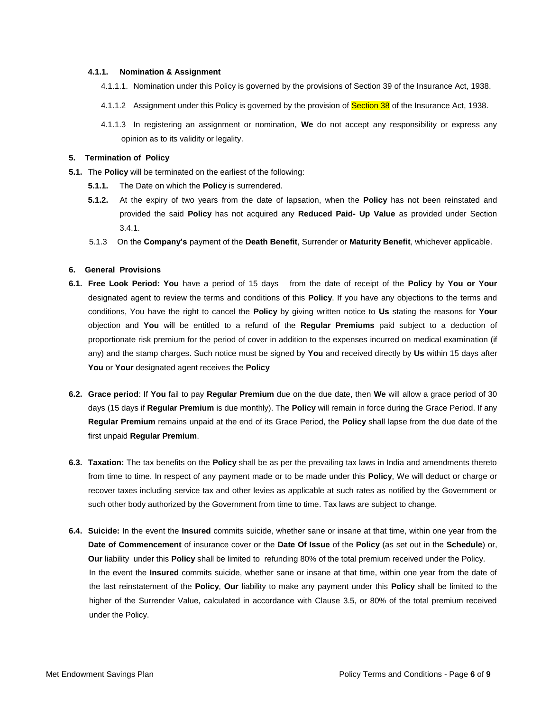## **4.1.1. Nomination & Assignment**

- 4.1.1.1. Nomination under this Policy is governed by the provisions of Section 39 of the Insurance Act, 1938.
- 4.1.1.2 Assignment under this Policy is governed by the provision of **Section 38** of the Insurance Act, 1938.
- 4.1.1.3 In registering an assignment or nomination, **We** do not accept any responsibility or express any opinion as to its validity or legality.

## **5. Termination of Policy**

- **5.1.** The **Policy** will be terminated on the earliest of the following:
	- **5.1.1.** The Date on which the **Policy** is surrendered.
	- **5.1.2.** At the expiry of two years from the date of lapsation, when the **Policy** has not been reinstated and provided the said **Policy** has not acquired any **Reduced Paid- Up Value** as provided under Section  $3.4.1.$
	- 5.1.3 On the **Company's** payment of the **Death Benefit**, Surrender or **Maturity Benefit**, whichever applicable.

#### **6. General Provisions**

- **6.1. Free Look Period: You** have a period of 15 days from the date of receipt of the **Policy** by **You or Your**  designated agent to review the terms and conditions of this **Policy**. If you have any objections to the terms and conditions, You have the right to cancel the **Policy** by giving written notice to **Us** stating the reasons for **Your**  objection and **You** will be entitled to a refund of the **Regular Premiums** paid subject to a deduction of proportionate risk premium for the period of cover in addition to the expenses incurred on medical examination (if any) and the stamp charges. Such notice must be signed by **You** and received directly by **Us** within 15 days after **You** or **Your** designated agent receives the **Policy**
- **6.2. Grace period**: If **You** fail to pay **Regular Premium** due on the due date, then **We** will allow a grace period of 30 days (15 days if **Regular Premium** is due monthly). The **Policy** will remain in force during the Grace Period. If any **Regular Premium** remains unpaid at the end of its Grace Period, the **Policy** shall lapse from the due date of the first unpaid **Regular Premium**.
- **6.3. Taxation:** The tax benefits on the **Policy** shall be as per the prevailing tax laws in India and amendments thereto from time to time. In respect of any payment made or to be made under this **Policy**, We will deduct or charge or recover taxes including service tax and other levies as applicable at such rates as notified by the Government or such other body authorized by the Government from time to time. Tax laws are subject to change.
- **6.4. Suicide:** In the event the **Insured** commits suicide, whether sane or insane at that time, within one year from the **Date of Commencement** of insurance cover or the **Date Of Issue** of the **Policy** (as set out in the **Schedule**) or, **Our** liability under this **Policy** shall be limited to refunding 80% of the total premium received under the Policy. In the event the **Insured** commits suicide, whether sane or insane at that time, within one year from the date of the last reinstatement of the **Policy**, **Our** liability to make any payment under this **Policy** shall be limited to the higher of the Surrender Value, calculated in accordance with Clause 3.5, or 80% of the total premium received under the Policy.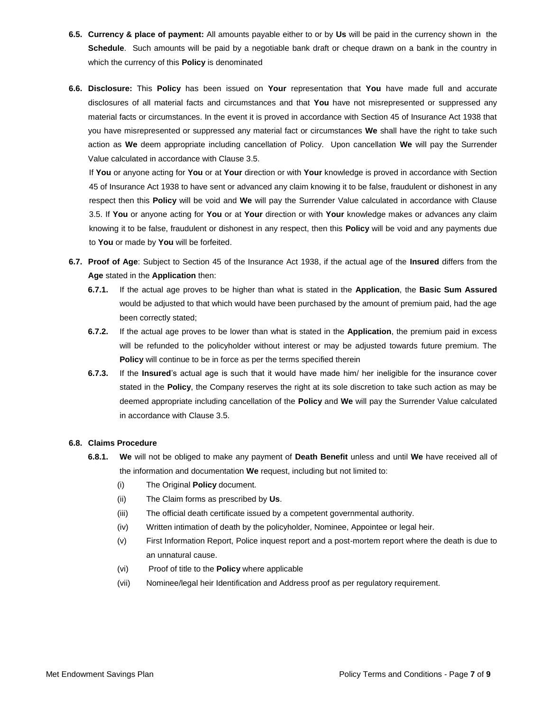- **6.5. Currency & place of payment:** All amounts payable either to or by **Us** will be paid in the currency shown in the **Schedule**. Such amounts will be paid by a negotiable bank draft or cheque drawn on a bank in the country in which the currency of this **Policy** is denominated
- **6.6. Disclosure:** This **Policy** has been issued on **Your** representation that **You** have made full and accurate disclosures of all material facts and circumstances and that **You** have not misrepresented or suppressed any material facts or circumstances. In the event it is proved in accordance with Section 45 of Insurance Act 1938 that you have misrepresented or suppressed any material fact or circumstances **We** shall have the right to take such action as **We** deem appropriate including cancellation of Policy. Upon cancellation **We** will pay the Surrender Value calculated in accordance with Clause 3.5.

If **You** or anyone acting for **You** or at **Your** direction or with **Your** knowledge is proved in accordance with Section 45 of Insurance Act 1938 to have sent or advanced any claim knowing it to be false, fraudulent or dishonest in any respect then this **Policy** will be void and **We** will pay the Surrender Value calculated in accordance with Clause 3.5. If **You** or anyone acting for **You** or at **Your** direction or with **Your** knowledge makes or advances any claim knowing it to be false, fraudulent or dishonest in any respect, then this **Policy** will be void and any payments due to **You** or made by **You** will be forfeited.

- **6.7. Proof of Age**: Subject to Section 45 of the Insurance Act 1938, if the actual age of the **Insured** differs from the **Age** stated in the **Application** then:
	- **6.7.1.** If the actual age proves to be higher than what is stated in the **Application**, the **Basic Sum Assured** would be adjusted to that which would have been purchased by the amount of premium paid, had the age been correctly stated;
	- **6.7.2.** If the actual age proves to be lower than what is stated in the **Application**, the premium paid in excess will be refunded to the policyholder without interest or may be adjusted towards future premium. The **Policy** will continue to be in force as per the terms specified therein
	- **6.7.3.** If the **Insured**'s actual age is such that it would have made him/ her ineligible for the insurance cover stated in the **Policy**, the Company reserves the right at its sole discretion to take such action as may be deemed appropriate including cancellation of the **Policy** and **We** will pay the Surrender Value calculated in accordance with Clause 3.5.

## **6.8. Claims Procedure**

- **6.8.1. We** will not be obliged to make any payment of **Death Benefit** unless and until **We** have received all of the information and documentation **We** request, including but not limited to:
	- (i) The Original **Policy** document.
	- (ii) The Claim forms as prescribed by **Us**.
	- (iii) The official death certificate issued by a competent governmental authority.
	- (iv) Written intimation of death by the policyholder, Nominee, Appointee or legal heir.
	- (v) First Information Report, Police inquest report and a post-mortem report where the death is due to an unnatural cause.
	- (vi) Proof of title to the **Policy** where applicable
	- (vii) Nominee/legal heir Identification and Address proof as per regulatory requirement.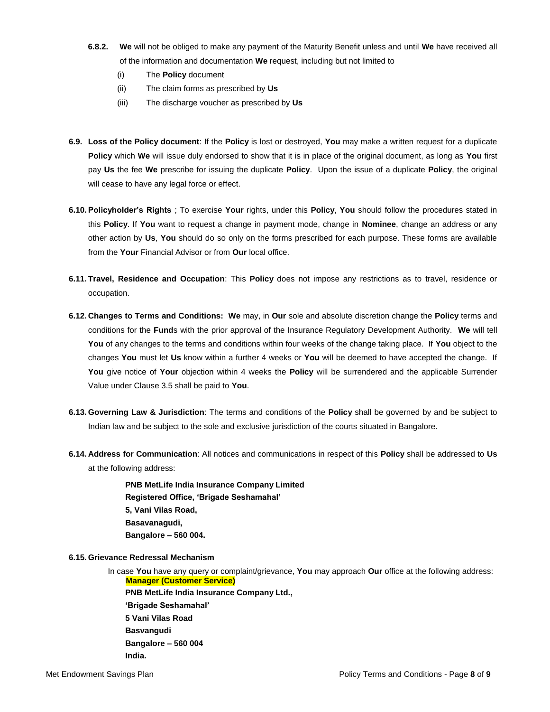- **6.8.2. We** will not be obliged to make any payment of the Maturity Benefit unless and until **We** have received all of the information and documentation **We** request, including but not limited to
	- (i) The **Policy** document
	- (ii) The claim forms as prescribed by **Us**
	- (iii) The discharge voucher as prescribed by **Us**
- **6.9. Loss of the Policy document**: If the **Policy** is lost or destroyed, **You** may make a written request for a duplicate **Policy** which **We** will issue duly endorsed to show that it is in place of the original document, as long as **You** first pay **Us** the fee **We** prescribe for issuing the duplicate **Policy**. Upon the issue of a duplicate **Policy**, the original will cease to have any legal force or effect.
- **6.10.Policyholder's Rights** ; To exercise **Your** rights, under this **Policy**, **You** should follow the procedures stated in this **Policy**. If **You** want to request a change in payment mode, change in **Nominee**, change an address or any other action by **Us**, **You** should do so only on the forms prescribed for each purpose. These forms are available from the **Your** Financial Advisor or from **Our** local office.
- **6.11. Travel, Residence and Occupation**: This **Policy** does not impose any restrictions as to travel, residence or occupation.
- **6.12. Changes to Terms and Conditions: We** may, in **Our** sole and absolute discretion change the **Policy** terms and conditions for the **Fund**s with the prior approval of the Insurance Regulatory Development Authority. **We** will tell **You** of any changes to the terms and conditions within four weeks of the change taking place. If **You** object to the changes **You** must let **Us** know within a further 4 weeks or **You** will be deemed to have accepted the change. If **You** give notice of **Your** objection within 4 weeks the **Policy** will be surrendered and the applicable Surrender Value under Clause 3.5 shall be paid to **You**.
- **6.13. Governing Law & Jurisdiction**: The terms and conditions of the **Policy** shall be governed by and be subject to Indian law and be subject to the sole and exclusive jurisdiction of the courts situated in Bangalore.
- **6.14. Address for Communication**: All notices and communications in respect of this **Policy** shall be addressed to **Us** at the following address:

**PNB MetLife India Insurance Company Limited Registered Office, 'Brigade Seshamahal' 5, Vani Vilas Road, Basavanagudi, Bangalore – 560 004.**

**6.15. Grievance Redressal Mechanism**

 In case **You** have any query or complaint/grievance, **You** may approach **Our** office at the following address:  **Manager (Customer Service) PNB MetLife India Insurance Company Ltd., 'Brigade Seshamahal' 5 Vani Vilas Road Basvangudi Bangalore – 560 004 India.**